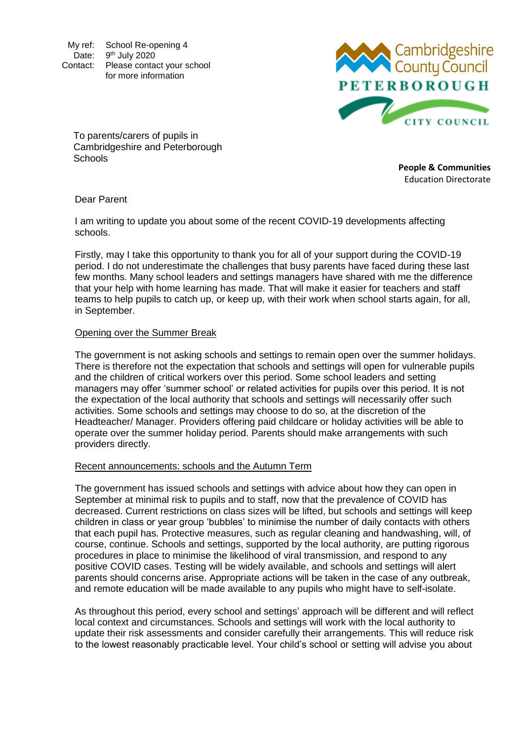My ref: School Re-opening 4 Date: 9<sup>th</sup> July 2020 Contact: Please contact your school for more information



To parents/carers of pupils in Cambridgeshire and Peterborough **Schools** 

**People & Communities** Education Directorate

Dear Parent

I am writing to update you about some of the recent COVID-19 developments affecting schools.

Firstly, may I take this opportunity to thank you for all of your support during the COVID-19 period. I do not underestimate the challenges that busy parents have faced during these last few months. Many school leaders and settings managers have shared with me the difference that your help with home learning has made. That will make it easier for teachers and staff teams to help pupils to catch up, or keep up, with their work when school starts again, for all, in September.

### Opening over the Summer Break

The government is not asking schools and settings to remain open over the summer holidays. There is therefore not the expectation that schools and settings will open for vulnerable pupils and the children of critical workers over this period. Some school leaders and setting managers may offer 'summer school' or related activities for pupils over this period. It is not the expectation of the local authority that schools and settings will necessarily offer such activities. Some schools and settings may choose to do so, at the discretion of the Headteacher/ Manager. Providers offering paid childcare or holiday activities will be able to operate over the summer holiday period. Parents should make arrangements with such providers directly.

# Recent announcements: schools and the Autumn Term

The government has issued schools and settings with advice about how they can open in September at minimal risk to pupils and to staff, now that the prevalence of COVID has decreased. Current restrictions on class sizes will be lifted, but schools and settings will keep children in class or year group 'bubbles' to minimise the number of daily contacts with others that each pupil has. Protective measures, such as regular cleaning and handwashing, will, of course, continue. Schools and settings, supported by the local authority, are putting rigorous procedures in place to minimise the likelihood of viral transmission, and respond to any positive COVID cases. Testing will be widely available, and schools and settings will alert parents should concerns arise. Appropriate actions will be taken in the case of any outbreak, and remote education will be made available to any pupils who might have to self-isolate.

As throughout this period, every school and settings' approach will be different and will reflect local context and circumstances. Schools and settings will work with the local authority to update their risk assessments and consider carefully their arrangements. This will reduce risk to the lowest reasonably practicable level. Your child's school or setting will advise you about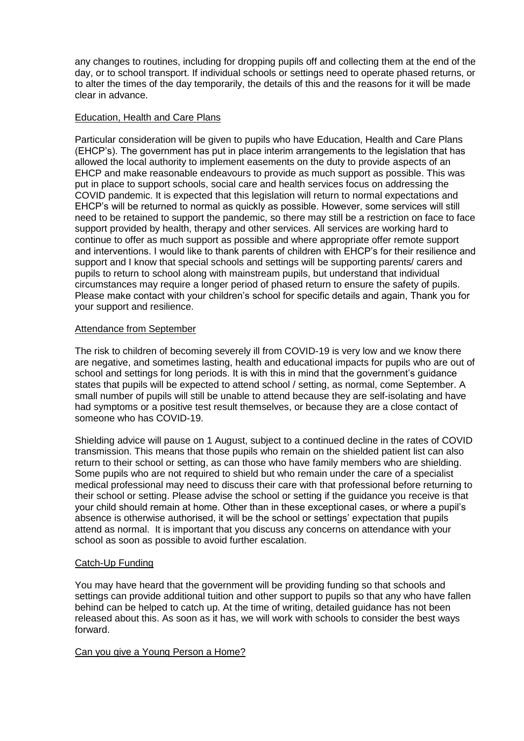any changes to routines, including for dropping pupils off and collecting them at the end of the day, or to school transport. If individual schools or settings need to operate phased returns, or to alter the times of the day temporarily, the details of this and the reasons for it will be made clear in advance.

## Education, Health and Care Plans

Particular consideration will be given to pupils who have Education, Health and Care Plans (EHCP's). The government has put in place interim arrangements to the legislation that has allowed the local authority to implement easements on the duty to provide aspects of an EHCP and make reasonable endeavours to provide as much support as possible. This was put in place to support schools, social care and health services focus on addressing the COVID pandemic. It is expected that this legislation will return to normal expectations and EHCP's will be returned to normal as quickly as possible. However, some services will still need to be retained to support the pandemic, so there may still be a restriction on face to face support provided by health, therapy and other services. All services are working hard to continue to offer as much support as possible and where appropriate offer remote support and interventions. I would like to thank parents of children with EHCP's for their resilience and support and I know that special schools and settings will be supporting parents/ carers and pupils to return to school along with mainstream pupils, but understand that individual circumstances may require a longer period of phased return to ensure the safety of pupils. Please make contact with your children's school for specific details and again, Thank you for your support and resilience.

### Attendance from September

The risk to children of becoming severely ill from COVID-19 is very low and we know there are negative, and sometimes lasting, health and educational impacts for pupils who are out of school and settings for long periods. It is with this in mind that the government's guidance states that pupils will be expected to attend school / setting, as normal, come September. A small number of pupils will still be unable to attend because they are self-isolating and have had symptoms or a positive test result themselves, or because they are a close contact of someone who has COVID-19.

Shielding advice will pause on 1 August, subject to a continued decline in the rates of COVID transmission. This means that those pupils who remain on the shielded patient list can also return to their school or setting, as can those who have family members who are shielding. Some pupils who are not required to shield but who remain under the care of a specialist medical professional may need to discuss their care with that professional before returning to their school or setting. Please advise the school or setting if the guidance you receive is that your child should remain at home. Other than in these exceptional cases, or where a pupil's absence is otherwise authorised, it will be the school or settings' expectation that pupils attend as normal. It is important that you discuss any concerns on attendance with your school as soon as possible to avoid further escalation.

# Catch-Up Funding

You may have heard that the government will be providing funding so that schools and settings can provide additional tuition and other support to pupils so that any who have fallen behind can be helped to catch up. At the time of writing, detailed guidance has not been released about this. As soon as it has, we will work with schools to consider the best ways forward.

# Can you give a Young Person a Home?